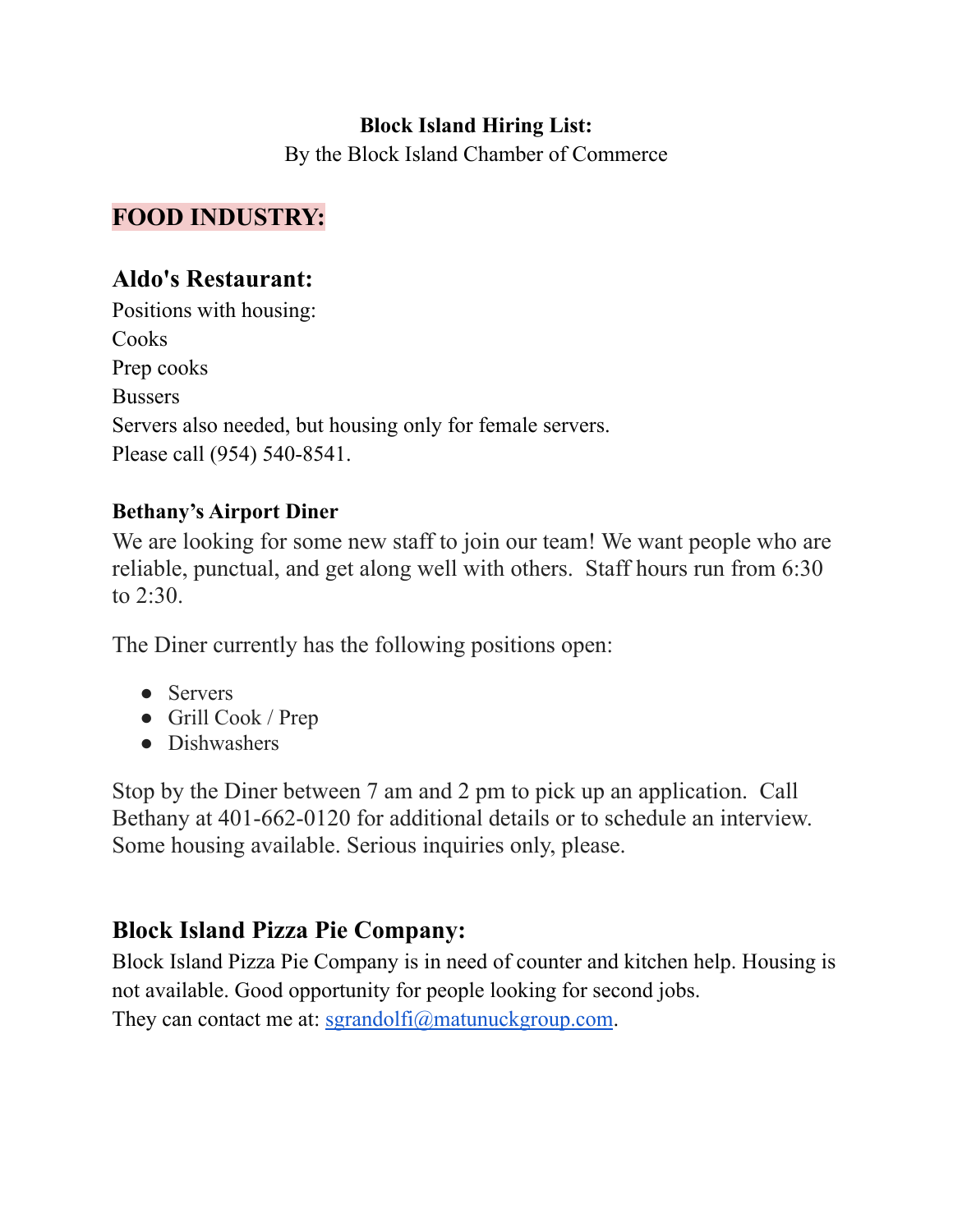#### **Block Island Hiring List:**

By the Block Island Chamber of Commerce

### **FOOD INDUSTRY:**

#### **Aldo's Restaurant:**

Positions with housing: Cooks Prep cooks Bussers Servers also needed, but housing only for female servers. Please call (954) 540-8541.

#### **Bethany's Airport Diner**

We are looking for some new staff to join our team! We want people who are reliable, punctual, and get along well with others. Staff hours run from 6:30 to 2:30.

The Diner currently has the following positions open:

- Servers
- Grill Cook / Prep
- Dishwashers

Stop by the Diner between 7 am and 2 pm to pick up an application. Call Bethany at 401-662-0120 for additional details or to schedule an interview. Some housing available. Serious inquiries only, please.

### **Block Island Pizza Pie Company:**

Block Island Pizza Pie Company is in need of counter and kitchen help. Housing is not available. Good opportunity for people looking for second jobs. They can contact me at:  $\frac{\text{Sgrandolfi}(a)}{\text{Sgrandolfi}(a)}$  matunuckgroup.com.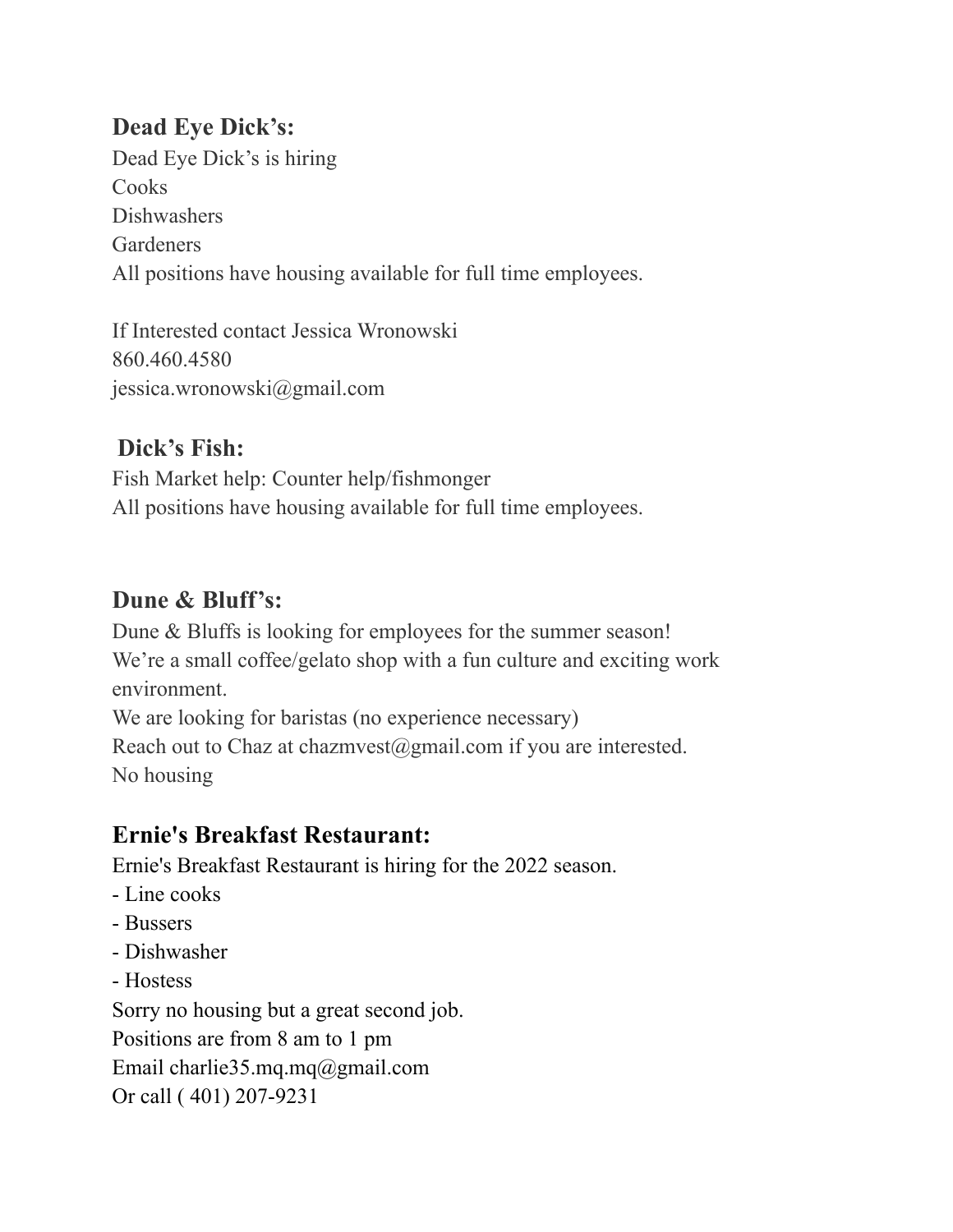# **Dead Eye Dick's:**

Dead Eye Dick's is hiring **Cooks** Dishwashers Gardeners All positions have housing available for full time employees.

If Interested contact Jessica Wronowski 860.460.4580 jessica.wronowski@gmail.com

# **Dick's Fish:**

Fish Market help: Counter help/fishmonger All positions have housing available for full time employees.

# **Dune & Bluff's:**

Dune & Bluffs is looking for employees for the summer season! We're a small coffee/gelato shop with a fun culture and exciting work environment. We are looking for baristas (no experience necessary)

Reach out to Chaz at chazmvest@gmail.com if you are interested. No housing

# **Ernie's Breakfast Restaurant:**

Ernie's Breakfast Restaurant is hiring for the 2022 season.

- Line cooks
- Bussers
- Dishwasher
- Hostess

Sorry no housing but a great second job. Positions are from 8 am to 1 pm Email charlie35.mq.mq@gmail.com Or call ( 401) 207-9231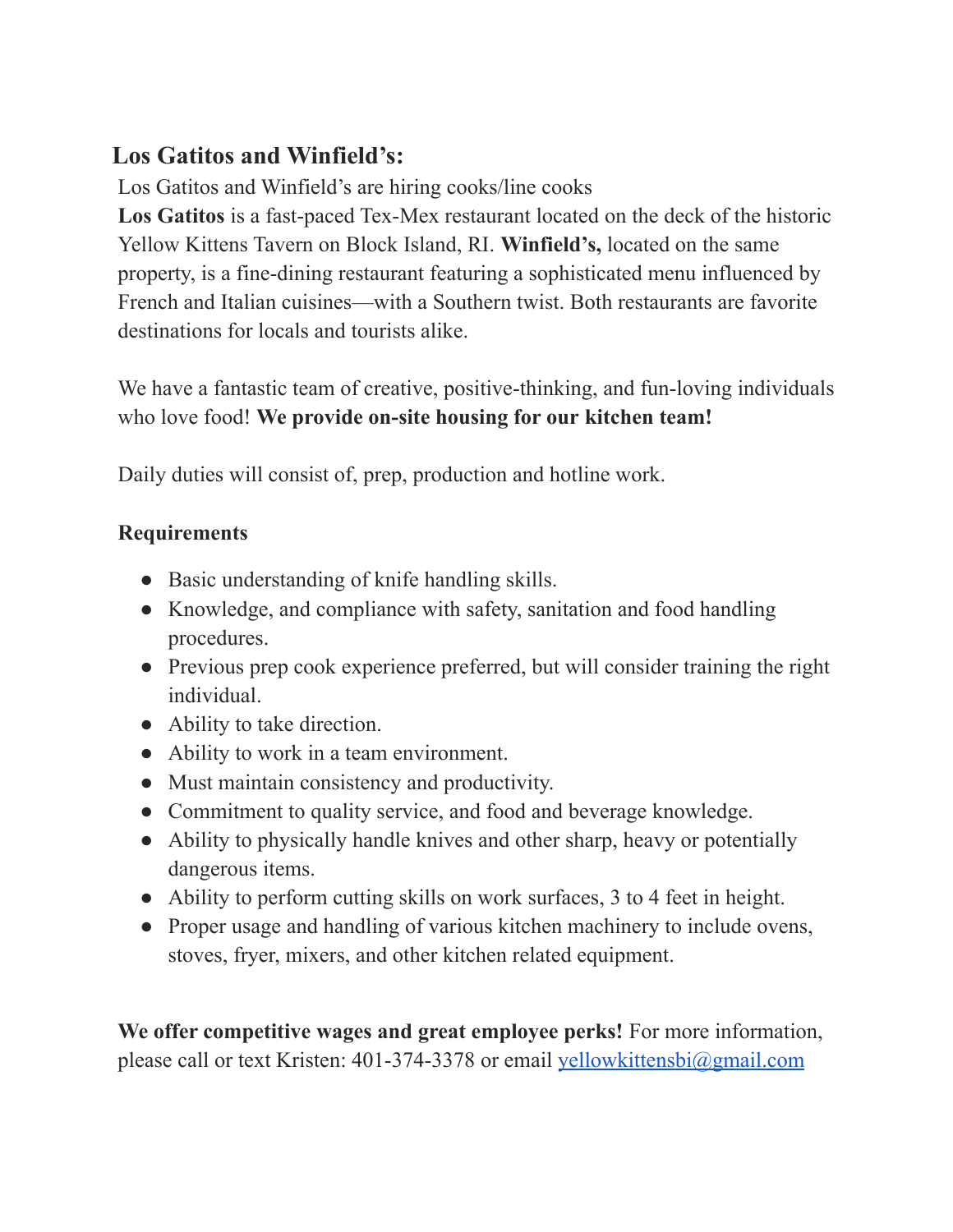# **Los Gatitos and Winfield's:**

Los Gatitos and Winfield's are hiring cooks/line cooks

**Los Gatitos** is a fast-paced Tex-Mex restaurant located on the deck of the historic Yellow Kittens Tavern on Block Island, RI. **Winfield's,** located on the same property, is a fine-dining restaurant featuring a sophisticated menu influenced by French and Italian cuisines—with a Southern twist. Both restaurants are favorite destinations for locals and tourists alike.

We have a fantastic team of creative, positive-thinking, and fun-loving individuals who love food! **We provide on-site housing for our kitchen team!**

Daily duties will consist of, prep, production and hotline work.

### **Requirements**

- Basic understanding of knife handling skills.
- Knowledge, and compliance with safety, sanitation and food handling procedures.
- Previous prep cook experience preferred, but will consider training the right individual.
- Ability to take direction.
- Ability to work in a team environment.
- Must maintain consistency and productivity.
- Commitment to quality service, and food and beverage knowledge.
- Ability to physically handle knives and other sharp, heavy or potentially dangerous items.
- Ability to perform cutting skills on work surfaces, 3 to 4 feet in height.
- Proper usage and handling of various kitchen machinery to include ovens, stoves, fryer, mixers, and other kitchen related equipment.

**We offer competitive wages and great employee perks!** For more information, please call or text Kristen: 401-374-3378 or email [yellowkittensbi@gmail.com](mailto:yellowkittensbi@gmail.com)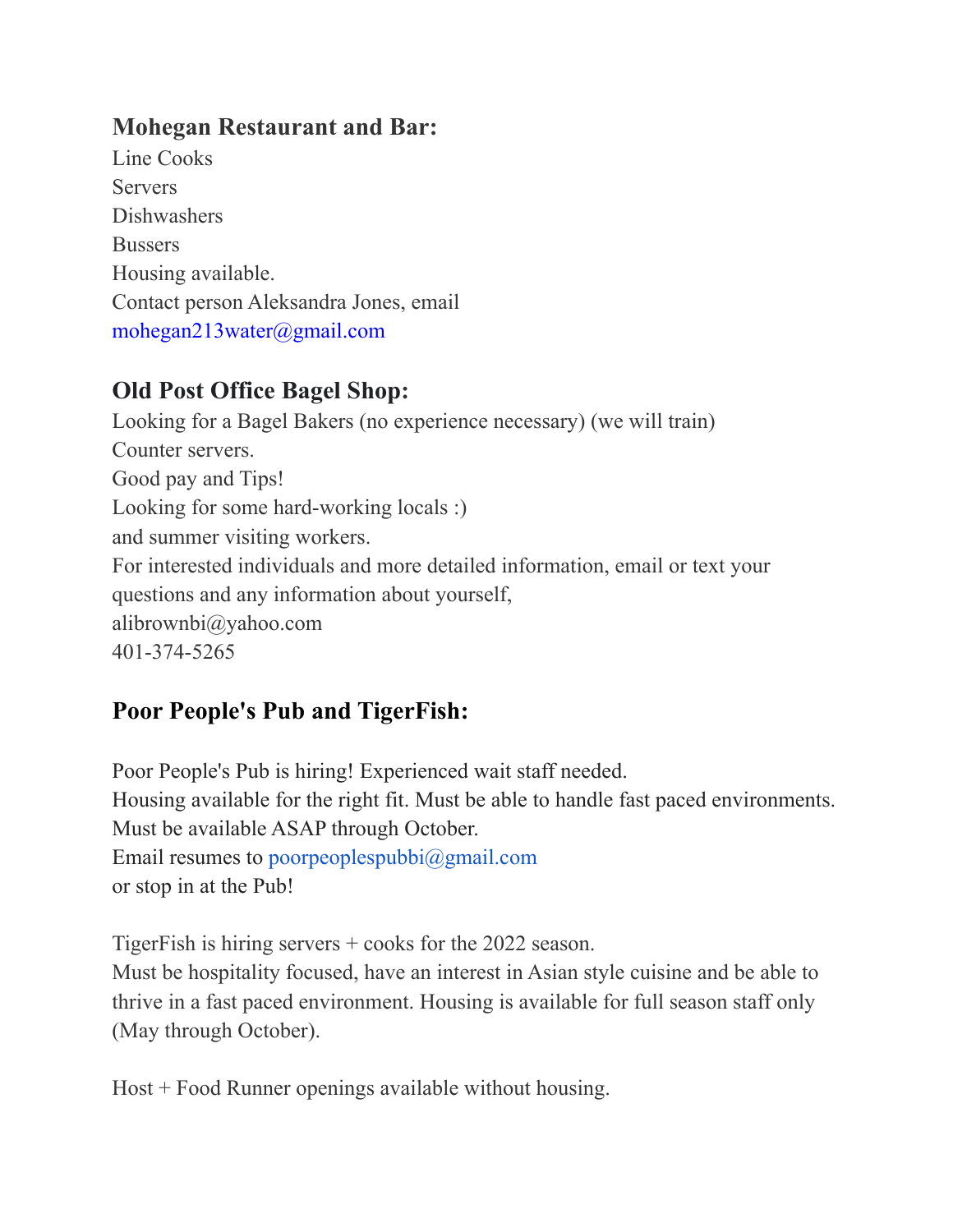## **Mohegan Restaurant and Bar:**

Line Cooks Servers **Dishwashers Bussers** Housing available. Contact person Aleksandra Jones, email mohegan213water@gmail.com

# **Old Post Office Bagel Shop:**

Looking for a Bagel Bakers (no experience necessary) (we will train) Counter servers. Good pay and Tips! Looking for some hard-working locals :) and summer visiting workers. For interested individuals and more detailed information, email or text your questions and any information about yourself, alibrownbi@yahoo.com 401-374-5265

# **Poor People's Pub and TigerFish:**

Poor People's Pub is hiring! Experienced wait staff needed. Housing available for the right fit. Must be able to handle fast paced environments. Must be available ASAP through October. Email resumes to poorpeoplespubbi@gmail.com or stop in at the Pub!

TigerFish is hiring servers + cooks for the 2022 season. Must be hospitality focused, have an interest in Asian style cuisine and be able to thrive in a fast paced environment. Housing is available for full season staff only (May through October).

Host + Food Runner openings available without housing.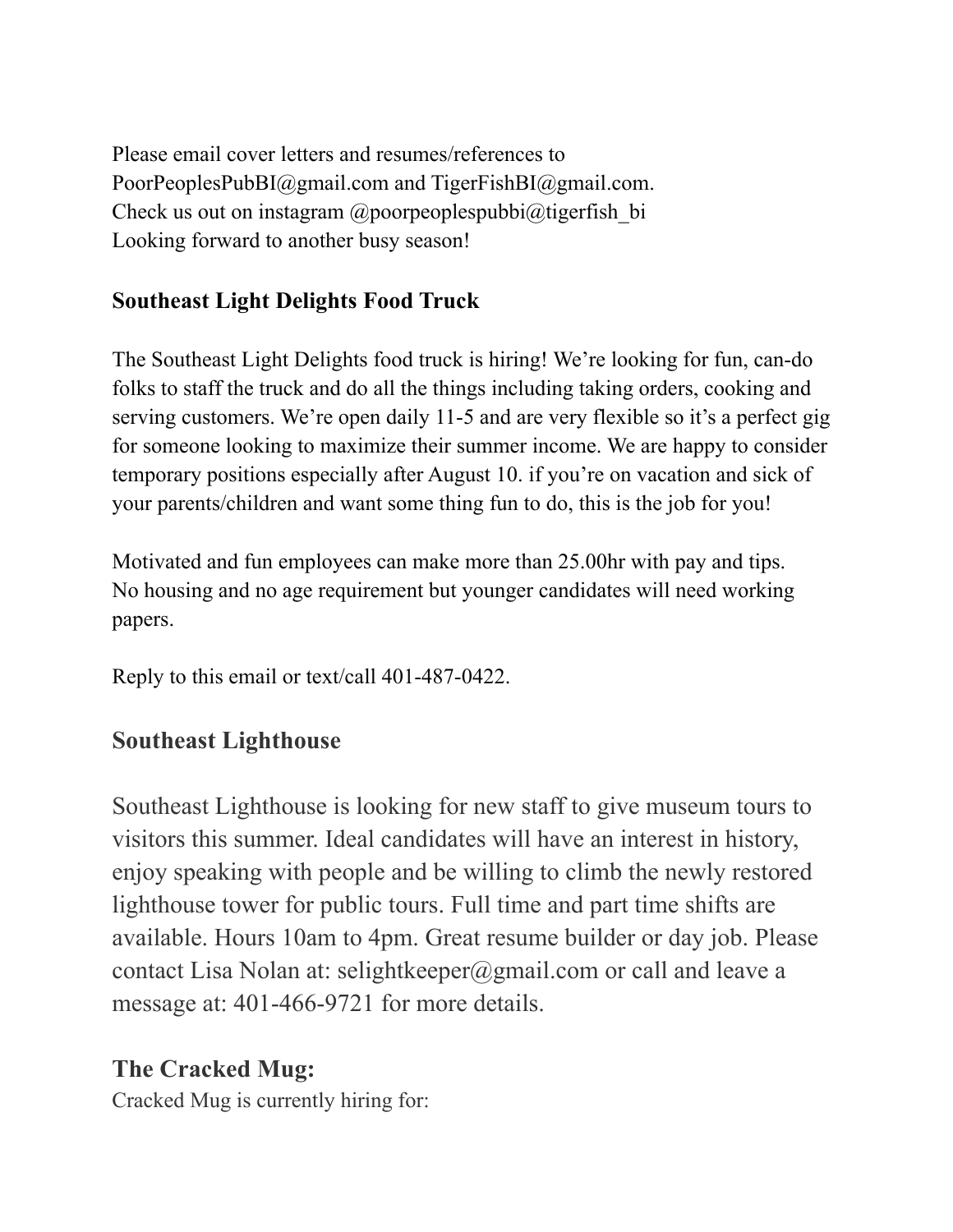Please email cover letters and resumes/references to PoorPeoplesPubBI@gmail.com and TigerFishBI@gmail.com. Check us out on instagram  $\omega$  poorpeoples pubbi $\omega$ tigerfish bi Looking forward to another busy season!

### **Southeast Light Delights Food Truck**

The Southeast Light Delights food truck is hiring! We're looking for fun, can-do folks to staff the truck and do all the things including taking orders, cooking and serving customers. We're open daily 11-5 and are very flexible so it's a perfect gig for someone looking to maximize their summer income. We are happy to consider temporary positions especially after August 10. if you're on vacation and sick of your parents/children and want some thing fun to do, this is the job for you!

Motivated and fun employees can make more than 25.00hr with pay and tips. No housing and no age requirement but younger candidates will need working papers.

Reply to this email or text/call 401-487-0422.

### **Southeast Lighthouse**

Southeast Lighthouse is looking for new staff to give museum tours to visitors this summer. Ideal candidates will have an interest in history, enjoy speaking with people and be willing to climb the newly restored lighthouse tower for public tours. Full time and part time shifts are available. Hours 10am to 4pm. Great resume builder or day job. Please contact Lisa Nolan at: selightkeeper@gmail.com or call and leave a message at: 401-466-9721 for more details.

### **The Cracked Mug:**

Cracked Mug is currently hiring for: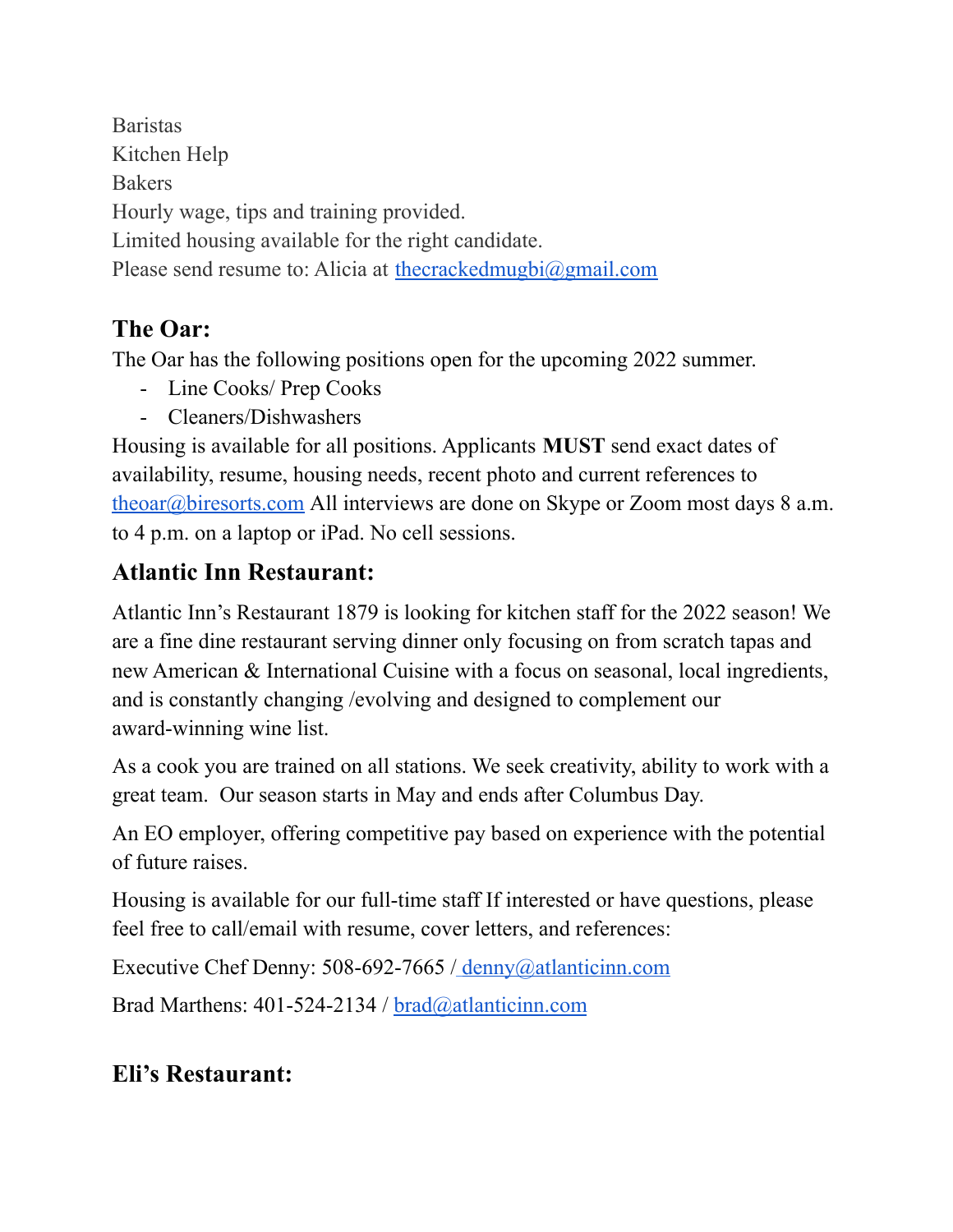Baristas Kitchen Help Bakers Hourly wage, tips and training provided. Limited housing available for the right candidate. Please send resume to: Alicia at the cracked mugbi $\omega$ gmail.com

# **The Oar:**

The Oar has the following positions open for the upcoming 2022 summer.

- Line Cooks/ Prep Cooks
- Cleaners/Dishwashers

Housing is available for all positions. Applicants **MUST** send exact dates of availability, resume, housing needs, recent photo and current references to [theoar@biresorts.com](mailto:theoar@bisorts.com) All interviews are done on Skype or Zoom most days 8 a.m. to 4 p.m. on a laptop or iPad. No cell sessions.

# **Atlantic Inn Restaurant:**

Atlantic Inn's Restaurant 1879 is looking for kitchen staff for the 2022 season! We are a fine dine restaurant serving dinner only focusing on from scratch tapas and new American & International Cuisine with a focus on seasonal, local ingredients, and is constantly changing /evolving and designed to complement our award-winning wine list.

As a cook you are trained on all stations. We seek creativity, ability to work with a great team. Our season starts in May and ends after Columbus Day.

An EO employer, offering competitive pay based on experience with the potential of future raises.

Housing is available for our full-time staff If interested or have questions, please feel free to call/email with resume, cover letters, and references:

Executive Chef Denny: 508-692-7665 / denny@atlanticinn.com

Brad Marthens: 401-524-2134 / brad@atlanticinn.com

# **Eli's Restaurant:**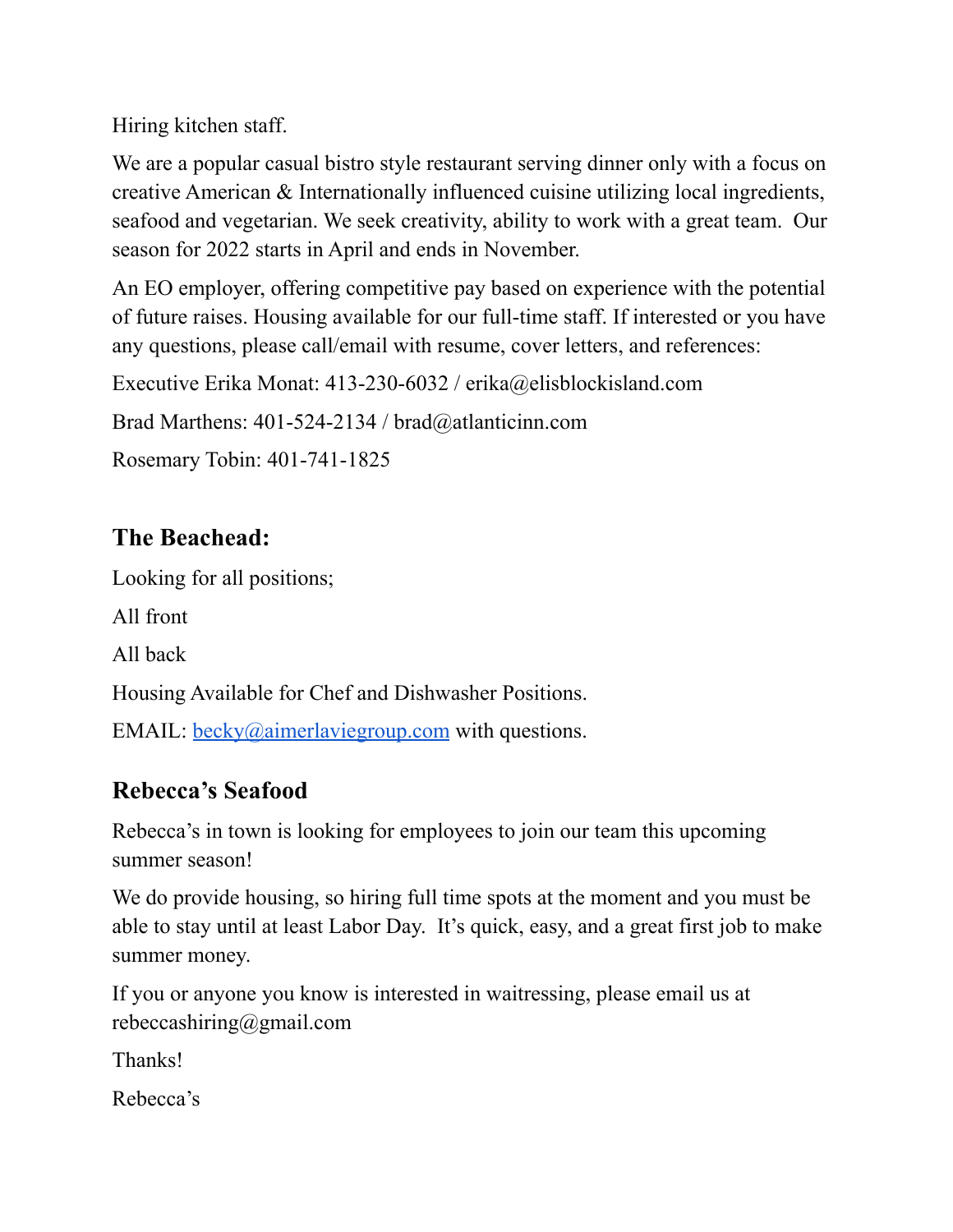Hiring kitchen staff.

We are a popular casual bistro style restaurant serving dinner only with a focus on creative American & Internationally influenced cuisine utilizing local ingredients, seafood and vegetarian. We seek creativity, ability to work with a great team. Our season for 2022 starts in April and ends in November.

An EO employer, offering competitive pay based on experience with the potential of future raises. Housing available for our full-time staff. If interested or you have any questions, please call/email with resume, cover letters, and references:

Executive Erika Monat: 413-230-6032 / erika@elisblockisland.com

Brad Marthens: 401-524-2134 / brad@atlanticinn.com

Rosemary Tobin: 401-741-1825

# **The Beachead:**

Looking for all positions; All front All back Housing Available for Chef and Dishwasher Positions. EMAIL:  $\frac{\text{becky}(a)}{\text{aimerlaviegroup.com}}$  with questions.

### **Rebecca's Seafood**

Rebecca's in town is looking for employees to join our team this upcoming summer season!

We do provide housing, so hiring full time spots at the moment and you must be able to stay until at least Labor Day. It's quick, easy, and a great first job to make summer money.

If you or anyone you know is interested in waitressing, please email us at rebeccashiring@gmail.com

Thanks!

Rebecca's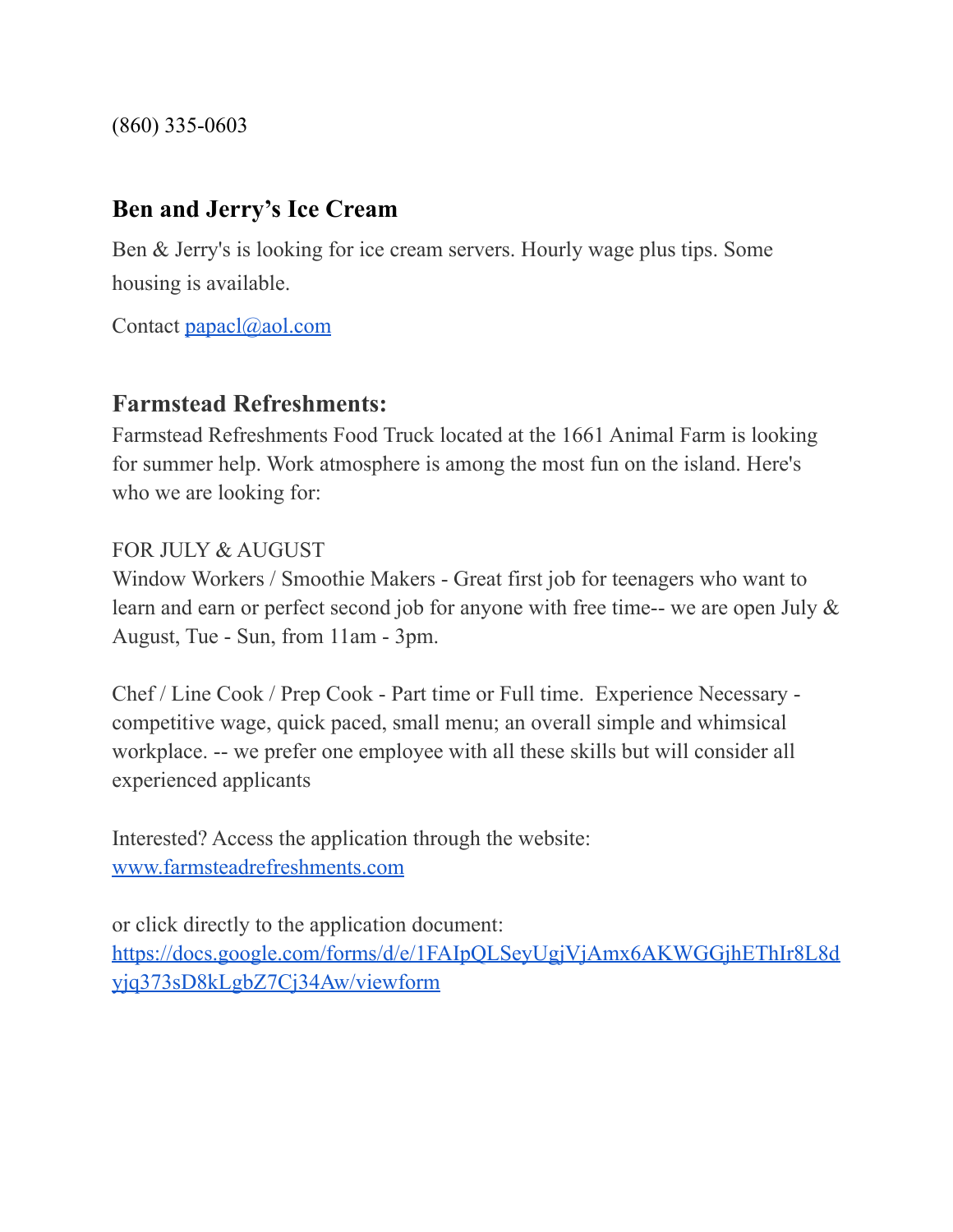(860) 335-0603

#### **Ben and Jerry's Ice Cream**

Ben & Jerry's is looking for ice cream servers. Hourly wage plus tips. Some housing is available.

Contact [papacl@aol.com](mailto:papacl@aol.com)

#### **Farmstead Refreshments:**

Farmstead Refreshments Food Truck located at the 1661 Animal Farm is looking for summer help. Work atmosphere is among the most fun on the island. Here's who we are looking for:

#### FOR JULY & AUGUST

Window Workers / Smoothie Makers - Great first job for teenagers who want to learn and earn or perfect second job for anyone with free time-- we are open July & August, Tue - Sun, from 11am - 3pm.

Chef / Line Cook / Prep Cook - Part time or Full time. Experience Necessary competitive wage, quick paced, small menu; an overall simple and whimsical workplace. -- we prefer one employee with all these skills but will consider all experienced applicants

Interested? Access the application through the website: [www.farmsteadrefreshments.com](http://www.farmsteadrefreshments.com/)

or click directly to the application document:

[https://docs.google.com/forms/d/e/1FAIpQLSeyUgjVjAmx6AKWGGjhEThIr8L8d](https://docs.google.com/forms/d/e/1FAIpQLSeyUgjVjAmx6AKWGGjhEThIr8L8dyjq373sD8kLgbZ7Cj34Aw/viewform) [yjq373sD8kLgbZ7Cj34Aw/viewform](https://docs.google.com/forms/d/e/1FAIpQLSeyUgjVjAmx6AKWGGjhEThIr8L8dyjq373sD8kLgbZ7Cj34Aw/viewform)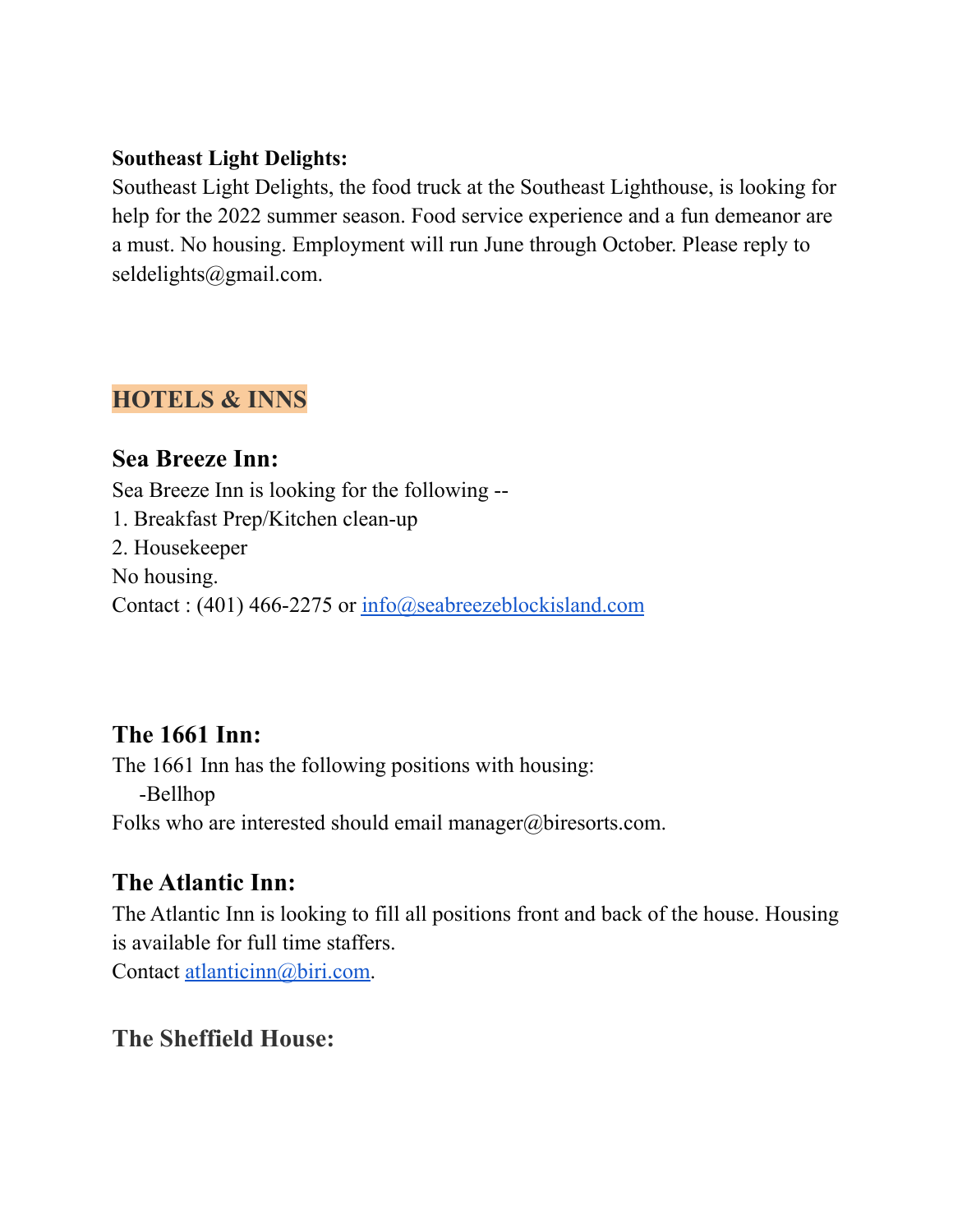#### **Southeast Light Delights:**

Southeast Light Delights, the food truck at the Southeast Lighthouse, is looking for help for the 2022 summer season. Food service experience and a fun demeanor are a must. No housing. Employment will run June through October. Please reply to seldelights@gmail.com.

#### **HOTELS & INNS**

**Sea Breeze Inn:** Sea Breeze Inn is looking for the following -- 1. Breakfast Prep/Kitchen clean-up 2. Housekeeper No housing. Contact : (401) 466-2275 or [info@seabreezeblockisland.com](mailto:info@seabreezeblockisland.com)

### **The 1661 Inn:**

The 1661 Inn has the following positions with housing: -Bellhop Folks who are interested should email manager@biresorts.com.

### **The Atlantic Inn:**

The Atlantic Inn is looking to fill all positions front and back of the house. Housing is available for full time staffers.

Contact [atlanticinn@biri.com.](mailto:atlanticinn@biri.com)

### **The Sheffield House:**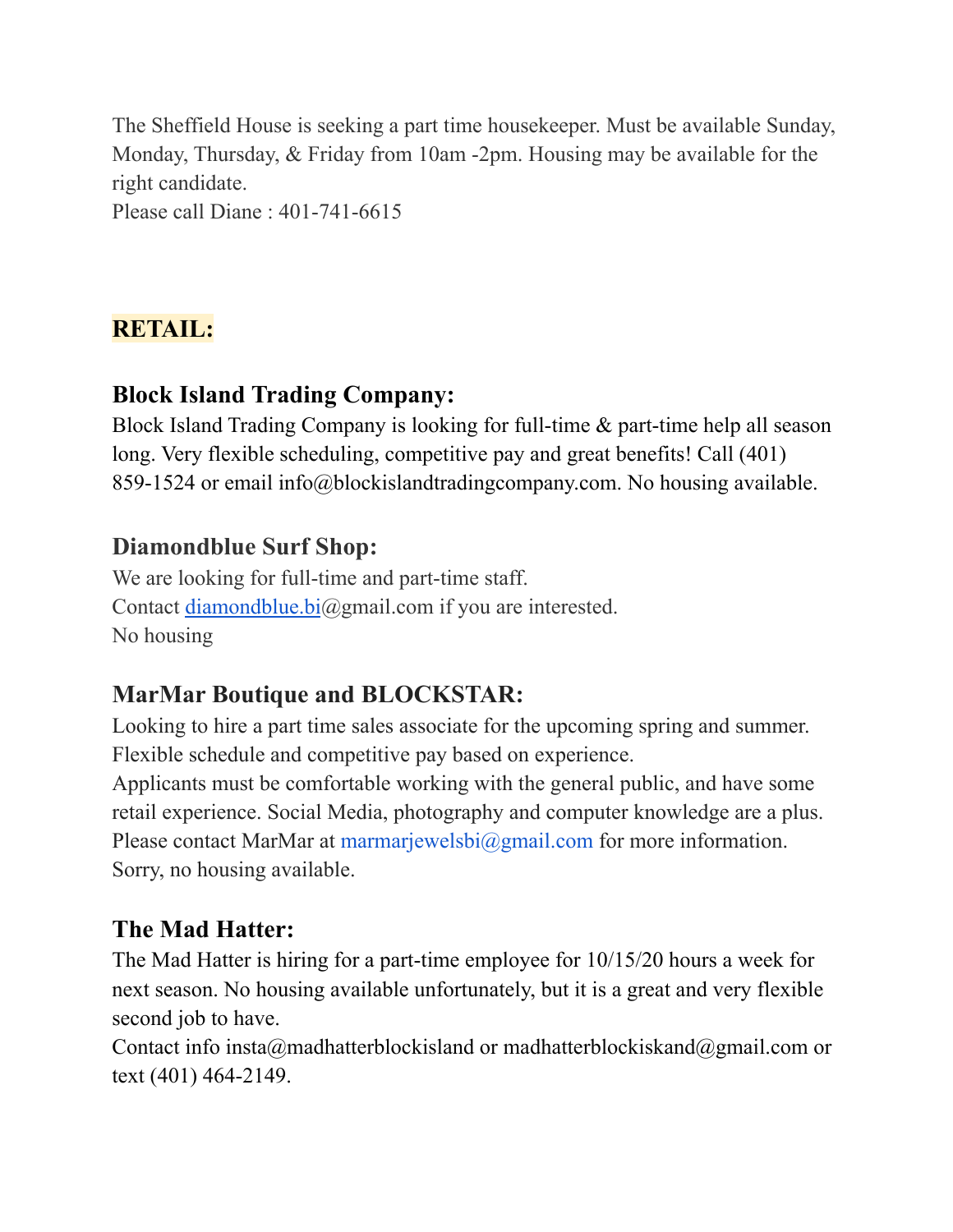The Sheffield House is seeking a part time housekeeper. Must be available Sunday, Monday, Thursday, & Friday from 10am -2pm. Housing may be available for the right candidate. Please call Diane : 401-741-6615

# **RETAIL:**

# **Block Island Trading Company:**

Block Island Trading Company is looking for full-time & part-time help all season long. Very flexible scheduling, competitive pay and great benefits! Call (401) 859-1524 or email info@blockislandtradingcompany.com. No housing available.

### **Diamondblue Surf Shop:**

We are looking for full-time and part-time staff. Contact [diamondblue.bi](http://diamondblue.bi/)@gmail.com if you are interested. No housing

# **MarMar Boutique and BLOCKSTAR:**

Looking to hire a part time sales associate for the upcoming spring and summer. Flexible schedule and competitive pay based on experience.

Applicants must be comfortable working with the general public, and have some retail experience. Social Media, photography and computer knowledge are a plus. Please contact MarMar at marmarjewelsbi@gmail.com for more information. Sorry, no housing available.

# **The Mad Hatter:**

The Mad Hatter is hiring for a part-time employee for 10/15/20 hours a week for next season. No housing available unfortunately, but it is a great and very flexible second job to have.

Contact info insta@madhatterblockisland or madhatterblockiskand@gmail.com or text (401) 464-2149.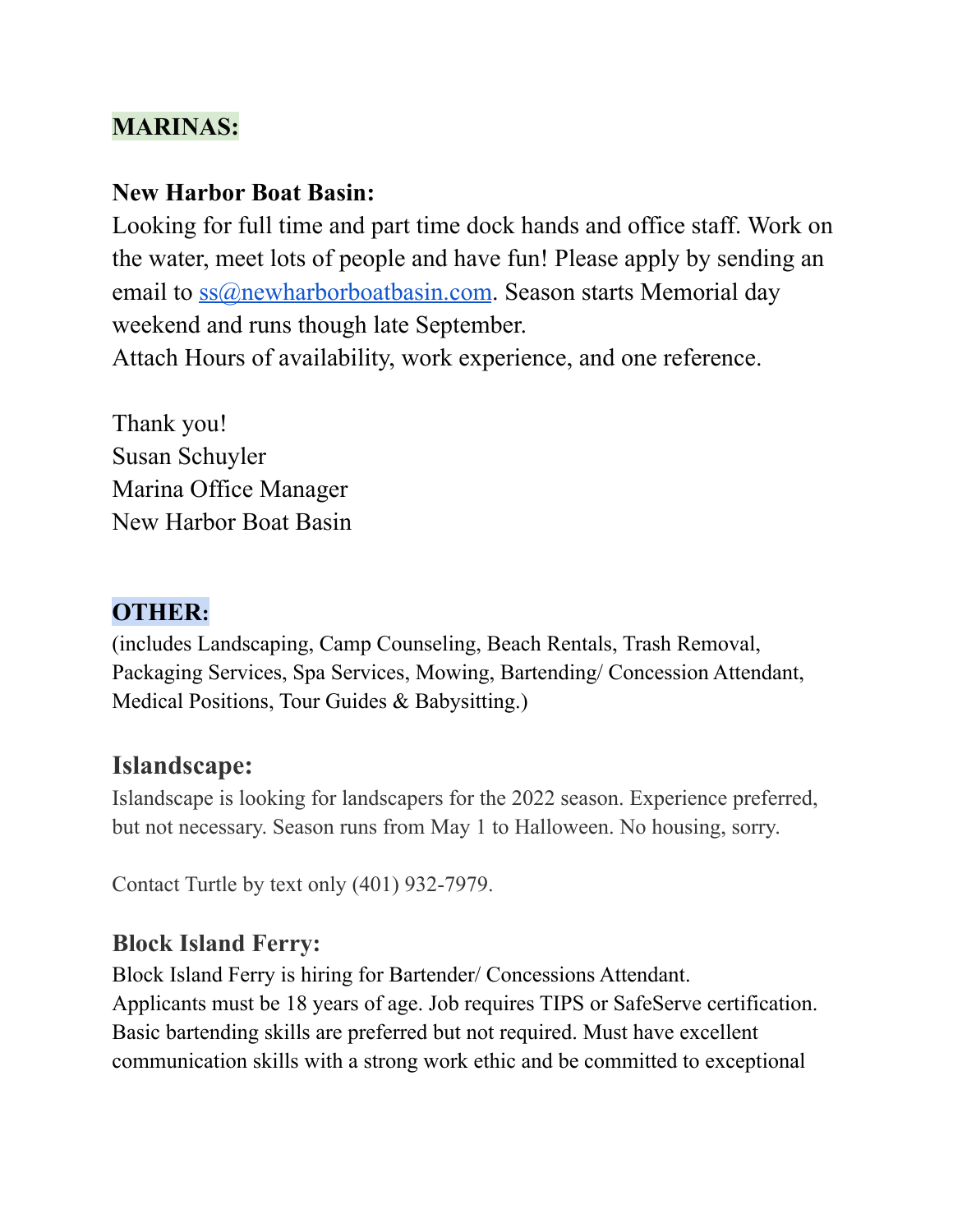# **MARINAS:**

### **New Harbor Boat Basin:**

Looking for full time and part time dock hands and office staff. Work on the water, meet lots of people and have fun! Please apply by sending an email to  $ss@newharborboatbasin.com$ . Season starts Memorial day weekend and runs though late September.

Attach Hours of availability, work experience, and one reference.

Thank you! Susan Schuyler Marina Office Manager New Harbor Boat Basin

### **OTHER:**

(includes Landscaping, Camp Counseling, Beach Rentals, Trash Removal, Packaging Services, Spa Services, Mowing, Bartending/ Concession Attendant, Medical Positions, Tour Guides & Babysitting.)

### **Islandscape:**

Islandscape is looking for landscapers for the 2022 season. Experience preferred, but not necessary. Season runs from May 1 to Halloween. No housing, sorry.

Contact Turtle by text only (401) 932-7979.

### **Block Island Ferry:**

Block Island Ferry is hiring for Bartender/ Concessions Attendant. Applicants must be 18 years of age. Job requires TIPS or SafeServe certification. Basic bartending skills are preferred but not required. Must have excellent communication skills with a strong work ethic and be committed to exceptional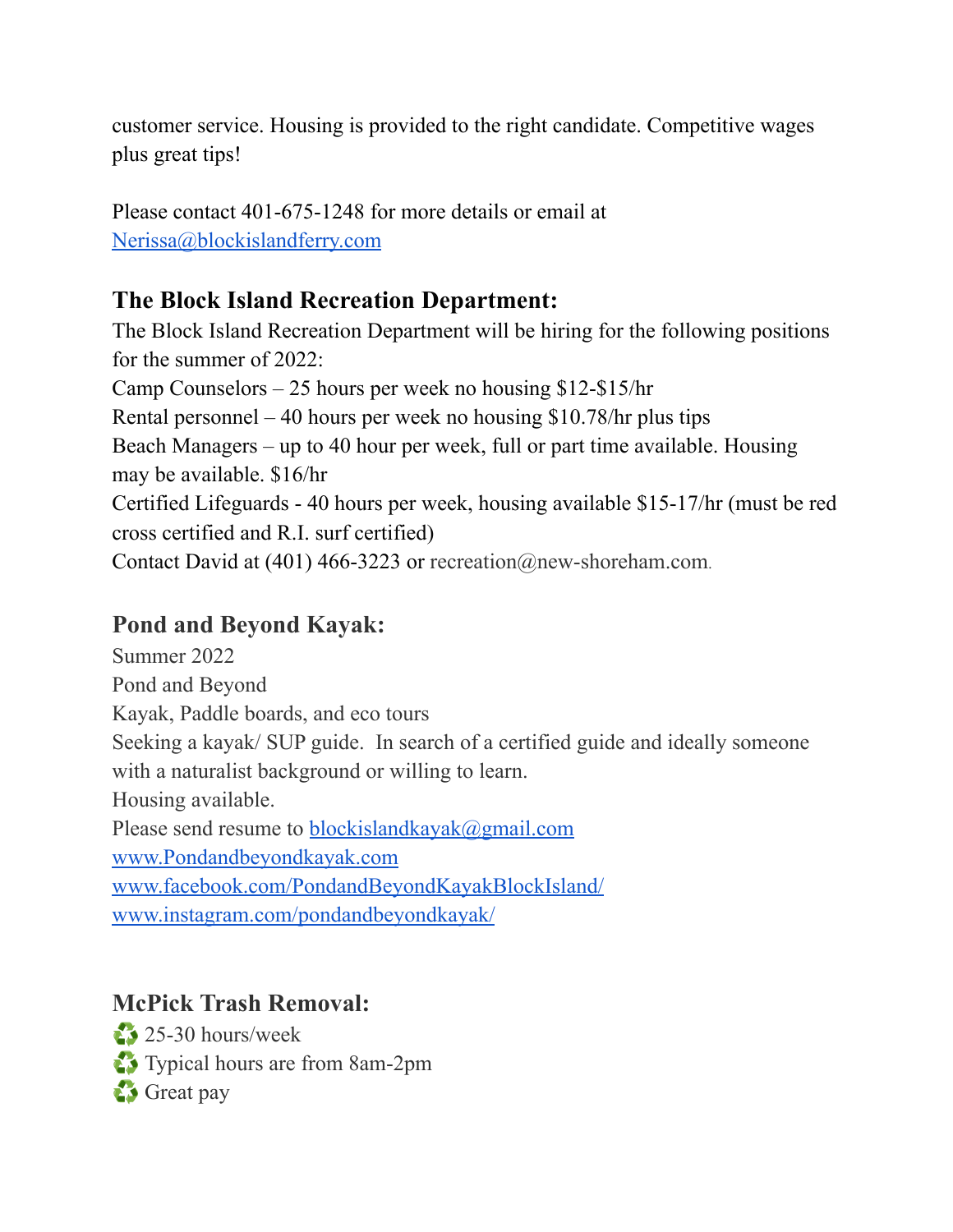customer service. Housing is provided to the right candidate. Competitive wages plus great tips!

Please contact 401-675-1248 for more details or email at [Nerissa@blockislandferry.com](mailto:Nerissa@blockislandferry.com)

# **The Block Island Recreation Department:**

The Block Island Recreation Department will be hiring for the following positions for the summer of 2022: Camp Counselors – 25 hours per week no housing \$12-\$15/hr Rental personnel – 40 hours per week no housing \$10.78/hr plus tips Beach Managers – up to 40 hour per week, full or part time available. Housing may be available. \$16/hr Certified Lifeguards - 40 hours per week, housing available \$15-17/hr (must be red cross certified and R.I. surf certified) Contact David at (401) 466-3223 or recreation@new-shoreham.com.

# **Pond and Beyond Kayak:**

Summer 2022 Pond and Beyond Kayak, Paddle boards, and eco tours Seeking a kayak/ SUP guide. In search of a certified guide and ideally someone with a naturalist background or willing to learn. Housing available. Please send resume to [blockislandkayak@gmail.com](mailto:blockislandkayak@gmail.com) [www.Pondandbeyondkayak.com](http://pondandbeyondkayak.com/) [www.facebook.com/PondandBeyondKayakBlockIsland/](http://www.facebook.com/PondandBeyondKayakBlockIsland/) [www.instagram.com/pondandbeyondkayak/](http://www.instagram.com/pondandbeyondkayak/)

# **McPick Trash Removal:**

♻️ 25-30 hours/week ♻️ Typical hours are from 8am-2pm ♻️ Great pay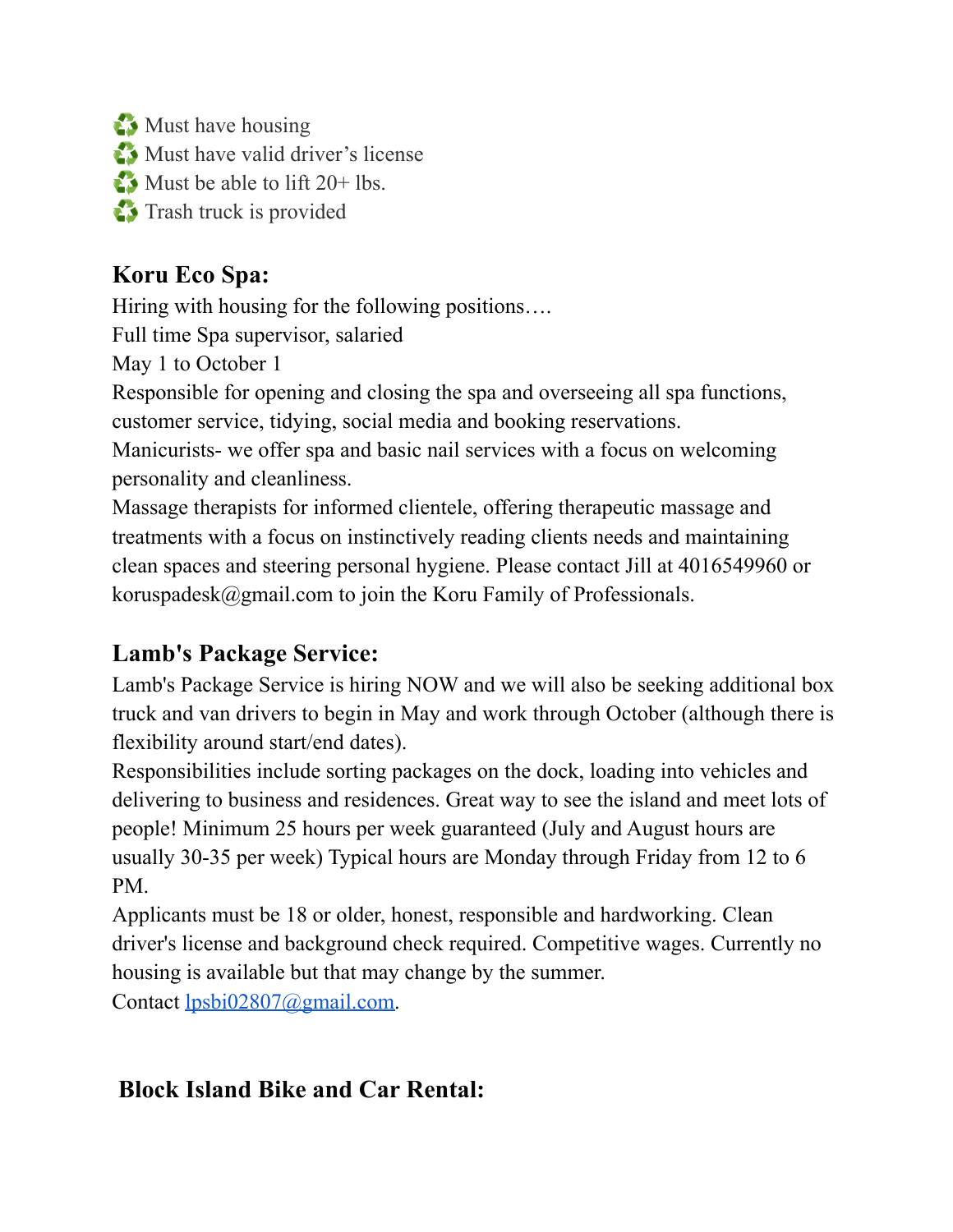♻️ Must have housing ♻️ Must have valid driver's license  $\bullet$  Must be able to lift 20+ lbs. ♻️ Trash truck is provided

# **Koru Eco Spa:**

Hiring with housing for the following positions….

Full time Spa supervisor, salaried

May 1 to October 1

Responsible for opening and closing the spa and overseeing all spa functions, customer service, tidying, social media and booking reservations.

Manicurists- we offer spa and basic nail services with a focus on welcoming personality and cleanliness.

Massage therapists for informed clientele, offering therapeutic massage and treatments with a focus on instinctively reading clients needs and maintaining clean spaces and steering personal hygiene. Please contact Jill at 4016549960 or koruspadesk@gmail.com to join the Koru Family of Professionals.

# **Lamb's Package Service:**

Lamb's Package Service is hiring NOW and we will also be seeking additional box truck and van drivers to begin in May and work through October (although there is flexibility around start/end dates).

Responsibilities include sorting packages on the dock, loading into vehicles and delivering to business and residences. Great way to see the island and meet lots of people! Minimum 25 hours per week guaranteed (July and August hours are usually 30-35 per week) Typical hours are Monday through Friday from 12 to 6 PM.

Applicants must be 18 or older, honest, responsible and hardworking. Clean driver's license and background check required. Competitive wages. Currently no housing is available but that may change by the summer.

Contact [lpsbi02807@gmail.com.](mailto:lpsbi02807@gmail.com)

# **Block Island Bike and Car Rental:**